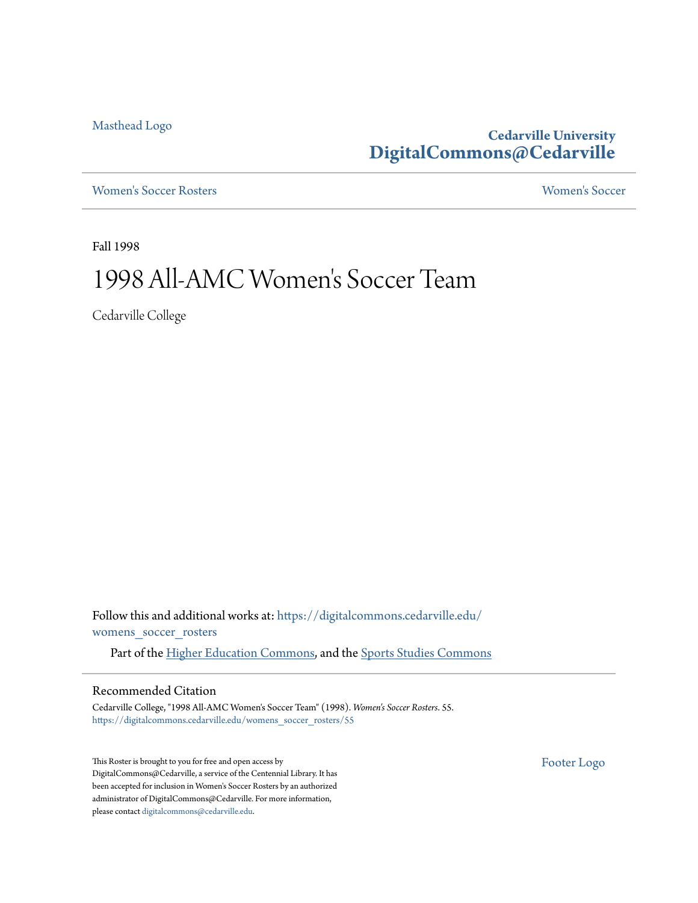[Masthead Logo](http://www.cedarville.edu/?utm_source=digitalcommons.cedarville.edu%2Fwomens_soccer_rosters%2F55&utm_medium=PDF&utm_campaign=PDFCoverPages)

**Cedarville University [DigitalCommons@Cedarville](https://digitalcommons.cedarville.edu?utm_source=digitalcommons.cedarville.edu%2Fwomens_soccer_rosters%2F55&utm_medium=PDF&utm_campaign=PDFCoverPages)**

[Women's Soccer Rosters](https://digitalcommons.cedarville.edu/womens_soccer_rosters?utm_source=digitalcommons.cedarville.edu%2Fwomens_soccer_rosters%2F55&utm_medium=PDF&utm_campaign=PDFCoverPages) [Women's Soccer](https://digitalcommons.cedarville.edu/womens_soccer?utm_source=digitalcommons.cedarville.edu%2Fwomens_soccer_rosters%2F55&utm_medium=PDF&utm_campaign=PDFCoverPages)

Fall 1998

# 1998 All-AMC Women 's Soccer Team

Cedarville College

Follow this and additional works at: [https://digitalcommons.cedarville.edu/](https://digitalcommons.cedarville.edu/womens_soccer_rosters?utm_source=digitalcommons.cedarville.edu%2Fwomens_soccer_rosters%2F55&utm_medium=PDF&utm_campaign=PDFCoverPages) [womens\\_soccer\\_rosters](https://digitalcommons.cedarville.edu/womens_soccer_rosters?utm_source=digitalcommons.cedarville.edu%2Fwomens_soccer_rosters%2F55&utm_medium=PDF&utm_campaign=PDFCoverPages)

Part of the [Higher Education Commons](http://network.bepress.com/hgg/discipline/1245?utm_source=digitalcommons.cedarville.edu%2Fwomens_soccer_rosters%2F55&utm_medium=PDF&utm_campaign=PDFCoverPages), and the [Sports Studies Commons](http://network.bepress.com/hgg/discipline/1198?utm_source=digitalcommons.cedarville.edu%2Fwomens_soccer_rosters%2F55&utm_medium=PDF&utm_campaign=PDFCoverPages)

### Recommended Citation

Cedarville College, "1998 All-AMC Women's Soccer Team" (1998). *Women's Soccer Rosters*. 55. [https://digitalcommons.cedarville.edu/womens\\_soccer\\_rosters/55](https://digitalcommons.cedarville.edu/womens_soccer_rosters/55?utm_source=digitalcommons.cedarville.edu%2Fwomens_soccer_rosters%2F55&utm_medium=PDF&utm_campaign=PDFCoverPages)

This Roster is brought to you for free and open access by DigitalCommons@Cedarville, a service of the Centennial Library. It has been accepted for inclusion in Women's Soccer Rosters by an authorized administrator of DigitalCommons@Cedarville. For more information, please contact [digitalcommons@cedarville.edu.](mailto:digitalcommons@cedarville.edu)

[Footer Logo](http://www.cedarville.edu/Academics/Library.aspx?utm_source=digitalcommons.cedarville.edu%2Fwomens_soccer_rosters%2F55&utm_medium=PDF&utm_campaign=PDFCoverPages)